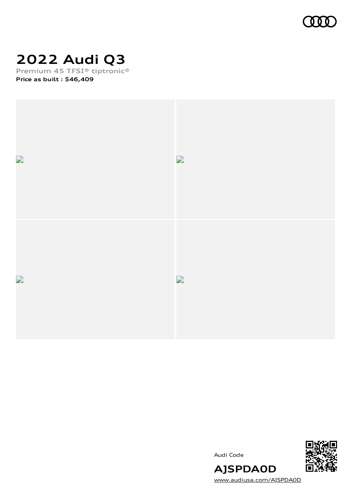

# **2022 Audi Q3**

**Premium 45 TFSI® tiptronic® Price as built [:](#page-10-0) \$46,409**



Audi Code



[www.audiusa.com/AJSPDA0D](https://www.audiusa.com/AJSPDA0D)

**AJSPDA0D**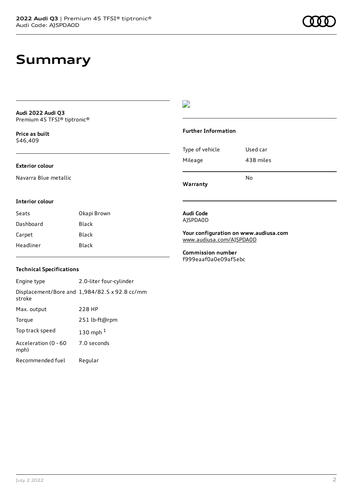### **Summary**

**Audi 2022 Audi Q3** Premium 45 TFSI® tiptronic®

**Price as buil[t](#page-10-0)** \$46,409

#### **Exterior colour**

Navarra Blue metallic

#### D

#### **Further Information**

Type of vehicle Used car Mileage 438 miles

**Warranty**

#### **Interior colour**

Seats Okapi Brown Dashboard Black Carpet Black Headliner Black

### AJSPDA0D

**Audi Code**

**Your configuration on www.audiusa.com** [www.audiusa.com/AJSPDA0D](https://www.audiusa.com/AJSPDA0D)

No

**Commission number** f999eaaf0a0e09af5ebc

#### **Technical Specifications**

Engine type 2.0-liter four-cylinder Displacement/Bore and 1,984/82.5 x 92.8 cc/mm stroke Max. output 228 HP Torque 251 lb-ft@rpm Top track speed [1](#page-10-0)30 mph $<sup>1</sup>$ </sup> Acceleration (0 - 60 mph) 7.0 seconds Recommended fuel Regular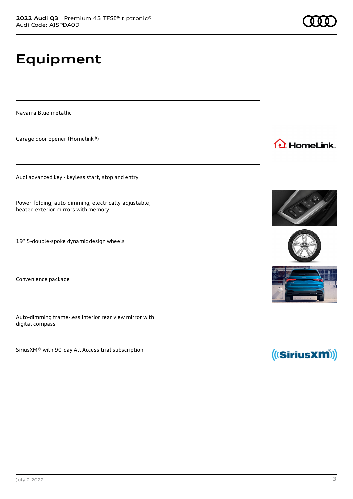**Equipment**

Navarra Blue metallic

Garage door opener (Homelink®)

Audi advanced key - keyless start, stop and entry

Power-folding, auto-dimming, electrically-adjustable, heated exterior mirrors with memory

19" 5-double-spoke dynamic design wheels

Convenience package

Auto-dimming frame-less interior rear view mirror with digital compass

SiriusXM® with 90-day All Access trial subscription







1<sup>t</sup> HomeLink.



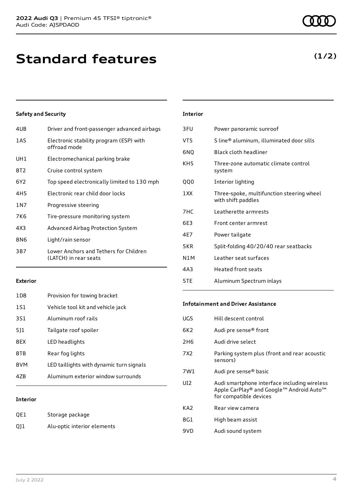| 4UB             | Driver and front-passenger advanced airbags                     |
|-----------------|-----------------------------------------------------------------|
| 1AS             | Electronic stability program (ESP) with<br>offroad mode         |
| UH1             | Electromechanical parking brake                                 |
| 8T2             | Cruise control system                                           |
| 6Y <sub>2</sub> | Top speed electronically limited to 130 mph                     |
| 4H <sub>5</sub> | Electronic rear child door locks                                |
| 1 N 7           | Progressive steering                                            |
| 7K6             | Tire-pressure monitoring system                                 |
| 4X3             | Advanced Airbag Protection System                               |
| 8N6             | Light/rain sensor                                               |
| 3B7             | Lower Anchors and Tethers for Children<br>(LATCH) in rear seats |
|                 |                                                                 |

#### **Exterior**

| 1D8 | Provision for towing bracket             |
|-----|------------------------------------------|
| 1S1 | Vehicle tool kit and vehicle jack        |
| 3S1 | Aluminum roof rails                      |
| 511 | Tailgate roof spoiler                    |
| 8FX | LED headlights                           |
| 8TB | Rear fog lights                          |
| 8VM | LED taillights with dynamic turn signals |
| 47B | Aluminum exterior window surrounds       |
|     |                                          |

#### **Interior**

| QE1 | Storage package             |
|-----|-----------------------------|
| Q11 | Alu-optic interior elements |

#### **Interior**

| 3FU             | Power panoramic sunroof                                         |
|-----------------|-----------------------------------------------------------------|
| VT5             | S line® aluminum, illuminated door sills                        |
| 6NQ             | Black cloth headliner                                           |
| KH <sub>5</sub> | Three-zone automatic climate control<br>system                  |
| <b>QQ0</b>      | Interior lighting                                               |
| 1 XX            | Three-spoke, multifunction steering wheel<br>with shift paddles |
| 7HC             | Leatherette armrests                                            |
| 6E3             | Front center armrest                                            |
| 4E7             | Power tailgate                                                  |
| 5KR             | Split-folding 40/20/40 rear seatbacks                           |
| N1M             | Leather seat surfaces                                           |
| 4A3             | Heated front seats                                              |
| 5TE             | Aluminum Spectrum inlays                                        |

#### **Infotainment and Driver Assistance**

÷.

| UG5 | Hill descent control                                                                     |
|-----|------------------------------------------------------------------------------------------|
| 6K2 | Audi pre sense <sup>®</sup> front                                                        |
| 2H6 | Audi drive select                                                                        |
| 7X2 | Parking system plus (front and rear acoustic<br>sensors)                                 |
| 7W1 | Audi pre sense® basic                                                                    |
| UI2 | Audi smartphone interface including wireless<br>Apple CarPlay® and Google™ Android Auto™ |
|     | for compatible devices                                                                   |
| KA2 | Rear view camera                                                                         |
| 8G1 | High beam assist                                                                         |
| 9VD | Audi sound system                                                                        |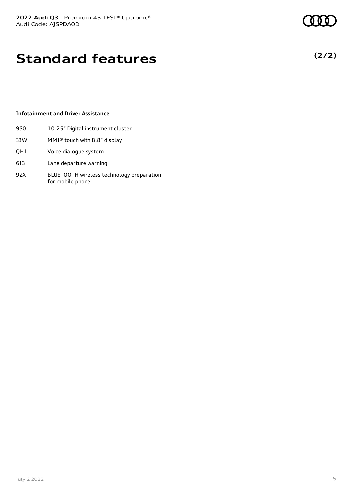## **Standard features**

#### **Infotainment and Driver Assistance**

- 9S0 10.25" Digital instrument cluster
- I8W MMI® touch with 8.8" display
- QH1 Voice dialogue system
- 6I3 Lane departure warning
- 9ZX BLUETOOTH wireless technology preparation for mobile phone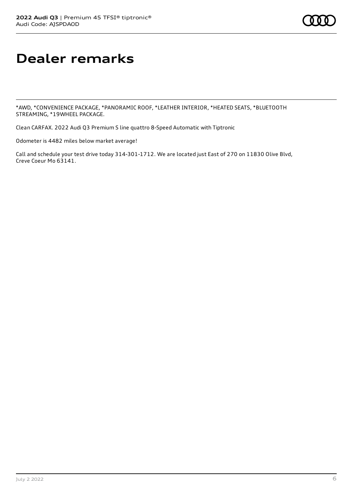# **Dealer remarks**

\*AWD, \*CONVENIENCE PACKAGE, \*PANORAMIC ROOF, \*LEATHER INTERIOR, \*HEATED SEATS, \*BLUETOOTH STREAMING, \*19WHEEL PACKAGE.

Clean CARFAX. 2022 Audi Q3 Premium S line quattro 8-Speed Automatic with Tiptronic

Odometer is 4482 miles below market average!

Call and schedule your test drive today 314-301-1712. We are located just East of 270 on 11830 Olive Blvd, Creve Coeur Mo 63141.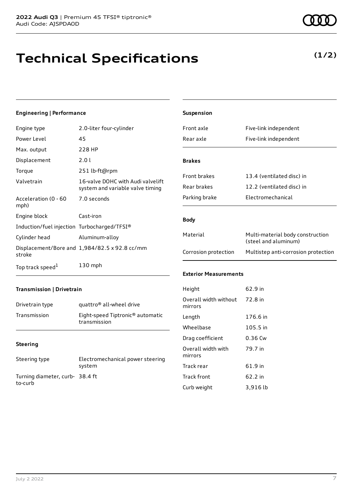## **Technical Specifications**

#### **Engineering | Performance**

| Engine type                                 | 2.0-liter four-cylinder                                               |
|---------------------------------------------|-----------------------------------------------------------------------|
| Power Level                                 | 45                                                                    |
| Max. output                                 | 228 HP                                                                |
| Displacement                                | 2.01                                                                  |
| Torque                                      | 251 lb-ft@rpm                                                         |
| Valvetrain                                  | 16-valve DOHC with Audi valvelift<br>system and variable valve timing |
| Acceleration (0 - 60<br>mph)                | 7.0 seconds                                                           |
| Engine block                                | Cast-iron                                                             |
| Induction/fuel injection Turbocharged/TFSI® |                                                                       |
| Cylinder head                               | Aluminum-alloy                                                        |
| stroke                                      | Displacement/Bore and 1,984/82.5 x 92.8 cc/mm                         |
| Top track speed <sup>1</sup>                | $130$ mph                                                             |

| Suspension                       |                                                          |
|----------------------------------|----------------------------------------------------------|
| Front axle                       | Five-link independent                                    |
| Rear axle                        | Five-link independent                                    |
|                                  |                                                          |
| <b>Brakes</b>                    |                                                          |
| Front brakes                     | 13.4 (ventilated disc) in                                |
| Rear brakes                      | 12.2 (ventilated disc) in                                |
| Parking brake                    | Electromechanical                                        |
|                                  |                                                          |
| <b>Body</b>                      |                                                          |
| Material                         | Multi-material body construction<br>(steel and aluminum) |
| Corrosion protection             | Multistep anti-corrosion protection                      |
|                                  |                                                          |
| <b>Exterior Measurements</b>     |                                                          |
| Height                           | 62.9 in                                                  |
| Overall width without<br>mirrors | 72.8 in                                                  |
| Length                           | 176.6 in                                                 |
| Wheelbase                        | 105.5 in                                                 |
| Drag coefficient                 | $0.36$ Cw                                                |
| Overall width with<br>mirrors    | 79.7 in                                                  |
| Track rear                       | 61.9 in                                                  |
| <b>Track front</b>               | 62.2 in                                                  |

Curb weight 3,916 lb

### **Transmission | Drivetrain** Drivetrain type quattro<sup>®</sup> all-wheel drive

| Transmission | Eight-speed Tiptronic <sup>®</sup> automatic |
|--------------|----------------------------------------------|
|              | transmission                                 |

#### **Steering**

| Steering type                             | Electromechanical power steering<br>system |
|-------------------------------------------|--------------------------------------------|
| Turning diameter, curb-38.4 ft<br>to-curb |                                            |

**(1/2)**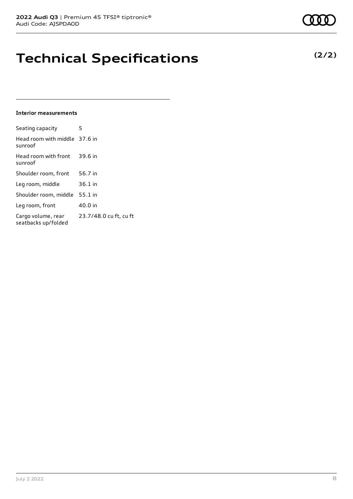## **Technical Specifications**

#### **Interior measurements**

| Seating capacity                          | 5                      |
|-------------------------------------------|------------------------|
| Head room with middle 37.6 in<br>sunroof  |                        |
| Head room with front<br>sunroof           | 39.6 in                |
| Shoulder room, front                      | 56.7 in                |
| Leg room, middle                          | 36.1 in                |
| Shoulder room, middle                     | $55.1$ in              |
| Leg room, front                           | 40.0 in                |
| Cargo volume, rear<br>seatbacks up/folded | 23.7/48.0 cu ft, cu ft |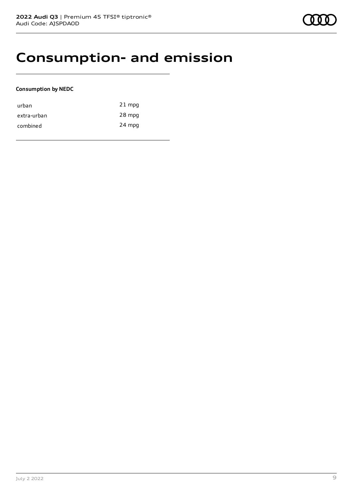### **Consumption- and emission**

#### **Consumption by NEDC**

| urban       | $21$ mpg |
|-------------|----------|
| extra-urban | 28 mpg   |
| combined    | 24 mpg   |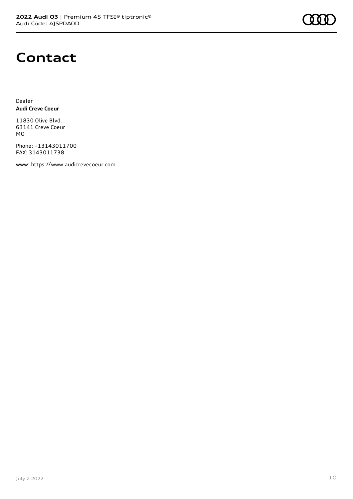

### **Contact**

Dealer **Audi Creve Coeur**

11830 Olive Blvd. 63141 Creve Coeur MO

Phone: +13143011700 FAX: 3143011738

www: [https://www.audicrevecoeur.com](https://www.audicrevecoeur.com/)